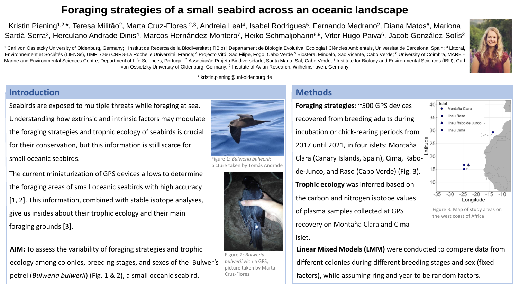Kristin Piening<sup>1,2,</sup>\*, Teresa Militão<sup>2</sup>, Marta Cruz-Flores <sup>2,3</sup>, Andreia Leal<sup>4</sup>, Isabel Rodrigues<sup>5</sup>, Fernando Medrano<sup>2</sup>, Diana Matos<sup>6</sup>, Mariona Sardà-Serra<sup>2</sup>, Herculano Andrade Dinis<sup>4</sup>, Marcos Hernández-Montero<sup>7</sup>, Heiko Schmaljohann<sup>8,9</sup>, Vitor Hugo Paiva<sup>6</sup>, Jacob González-Solís<sup>2</sup>

<sup>1</sup> Carl von Ossietzky University of Oldenburg, Germany; <sup>2</sup> Institut de Recerca de la Biodiversitat (IRBio) i Departament de Biologia Evolutiva, Ecologia i Ciències Ambientals, Universitat de Barcelona, Spain; <sup>3</sup> Littora Environnement et Sociétés (LIENSs), UMR 7266 CNRS-La Rochelle Université, France; <sup>4</sup> Projecto Vitó, São Filipe, Fogo, Cabo Verde 5 Biosfera, Mindelo, São Vicente, Cabo Verde; <sup>6</sup> University of Coimbra, MARE Marine and Environmental Sciences Centre, Department of Life Sciences, Portugal; 7 Associação Projeto Biodiversidade, Santa Maria, Sal, Cabo Verde; 8 Institute for Biology and Environmental Sciences (IBU), Carl von Ossietzky University of Oldenburg, Germany; <sup>9</sup> Institute of Avian Research, Wilhelmshaven, Germany

\* kristin.piening@uni-oldenburg.de

### **Introduction**

Seabirds are exposed to multiple threats while foraging at sea. Understanding how extrinsic and intrinsic factors may modulate the foraging strategies and trophic ecology of seabirds is crucial for their conservation, but this information is still scarce for small oceanic seabirds.

The current miniaturization of GPS devices allows to determine the foraging areas of small oceanic seabirds with high accuracy [1, 2]. This information, combined with stable isotope analyses, give us insides about their trophic ecology and their main foraging grounds [3].

**AIM:** To assess the variability of foraging strategies and trophic ecology among colonies, breeding stages, and sexes of the Bulwer's petrel (*Bulweria bulwerii*) (Fig. 1 & 2), a small oceanic seabird.



picture taken by Tomás Andrade



Figure 2: *Bulweria bulwerii* with a GPS; picture taken by Marta Cruz-Flores

### **Methods**

**Foraging strategies**: ~500 GPS devices recovered from breeding adults during incubation or chick-rearing periods from 2017 until 2021, in four islets: Montaña Clara (Canary Islands, Spain), Cima, Rabode-Junco, and Raso (Cabo Verde) (Fig. 3). **Trophic ecology** was inferred based on the carbon and nitrogen isotope values of plasma samples collected at GPS recovery on Montaña Clara and Cima Islet.





Figure 3: Map of study areas on the west coast of Africa

**Linear Mixed Models (LMM)** were conducted to compare data from different colonies during different breeding stages and sex (fixed factors), while assuming ring and year to be random factors.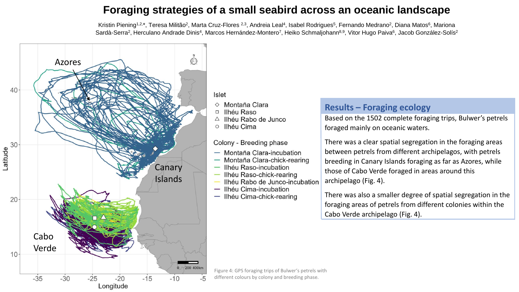Kristin Piening<sup>1,2,\*</sup>, Teresa Militão<sup>2</sup>, Marta Cruz-Flores <sup>2,3</sup>, Andreia Leal<sup>4</sup>, Isabel Rodrigues<sup>5</sup>, Fernando Medrano<sup>2</sup>, Diana Matos<sup>6</sup>, Mariona Sardà-Serra<sup>2</sup>, Herculano Andrade Dinis<sup>4</sup>, Marcos Hernández-Montero<sup>7</sup>, Heiko Schmaljohann<sup>8,9</sup>, Vitor Hugo Paiva<sup>6</sup>, Jacob González-Solís<sup>2</sup>



Montaña Clara

Ilhéu Raso

Ilhéu Rabo de Junco

Ilhéu Cima

#### Colony - Breeding phase

- Montaña Clara-incubation
- Montaña Clara-chick-rearing
- Ilhéu Raso-incubation
- Ilhéu Raso-chick-rearing
- Ilhéu Rabo de Junco-incubation
- Ilhéu Cima-incubation
- Ilhéu Cima-chick-rearing

#### **Results – Foraging ecology**

Based on the 1502 complete foraging trips, Bulwer's petrels foraged mainly on oceanic waters.

There was a clear spatial segregation in the foraging areas between petrels from different archipelagos, with petrels breeding in Canary Islands foraging as far as Azores, while those of Cabo Verde foraged in areas around this archipelago (Fig. 4).

There was also a smaller degree of spatial segregation in the foraging areas of petrels from different colonies within the Cabo Verde archipelago (Fig. 4).

Figure 4: GPS foraging trips of Bulwer's petrels with different colours by colony and breeding phase.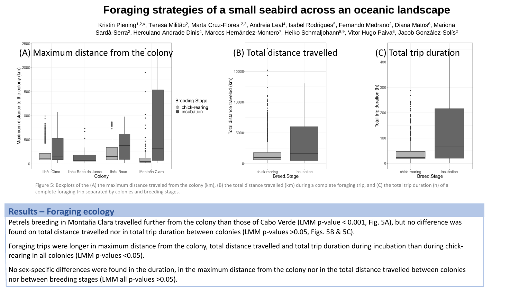Kristin Piening<sup>1,2,\*</sup>, Teresa Militão<sup>2</sup>, Marta Cruz-Flores <sup>2,3</sup>, Andreia Leal<sup>4</sup>, Isabel Rodrigues<sup>5</sup>, Fernando Medrano<sup>2</sup>, Diana Matos<sup>6</sup>, Mariona Sardà-Serra<sup>2</sup>, Herculano Andrade Dinis<sup>4</sup>, Marcos Hernández-Montero<sup>7</sup>, Heiko Schmaljohann<sup>8,9</sup>, Vitor Hugo Paiva<sup>6</sup>, Jacob González-Solís<sup>2</sup>



Figure 5: Boxplots of the (A) the maximum distance traveled from the colony (km), (B) the total distance travelled (km) during a complete foraging trip, and (C) the total trip duration (h) of a complete foraging trip separated by colonies and breeding stages.

#### **Results – Foraging ecology**

Petrels breeding in Montaña Clara travelled further from the colony than those of Cabo Verde (LMM p-value < 0.001, Fig. 5A), but no difference was found on total distance travelled nor in total trip duration between colonies (LMM p-values >0.05, Figs. 5B & 5C).

Foraging trips were longer in maximum distance from the colony, total distance travelled and total trip duration during incubation than during chickrearing in all colonies (LMM p-values <0.05).

No sex-specific differences were found in the duration, in the maximum distance from the colony nor in the total distance travelled between colonies nor between breeding stages (LMM all p-values >0.05).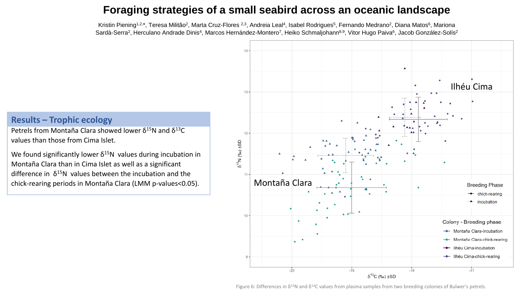Kristin Piening<sup>1,2,\*</sup>, Teresa Militão<sup>2</sup>, Marta Cruz-Flores <sup>2,3</sup>, Andreia Leal<sup>4</sup>, Isabel Rodrigues<sup>5</sup>, Fernando Medrano<sup>2</sup>, Diana Matos<sup>6</sup>, Mariona Sardà-Serra<sup>2</sup>, Herculano Andrade Dinis<sup>4</sup>, Marcos Hernández-Montero<sup>7</sup>, Heiko Schmaljohann<sup>8,9</sup>, Vitor Hugo Paiva<sup>6</sup>, Jacob González-Solís<sup>2</sup>

#### **Results – Trophic ecology**

Petrels from Montaña Clara showed lower  $δ<sup>15</sup>N$  and  $δ<sup>13</sup>C$ values than those from Cima Islet.

We found significantly lower  $\delta^{15}N$  values during incubation in Montaña Clara than in Cima Islet as well as a significant difference in  $\delta^{15}N$  values between the incubation and the chick-rearing periods in Montaña Clara (LMM p-values<0.05).



Figure 6: Differences in  $\delta^{15}N$  and  $\delta^{13}C$  values from plasma samples from two breeding colonies of Bulwer's petrels.